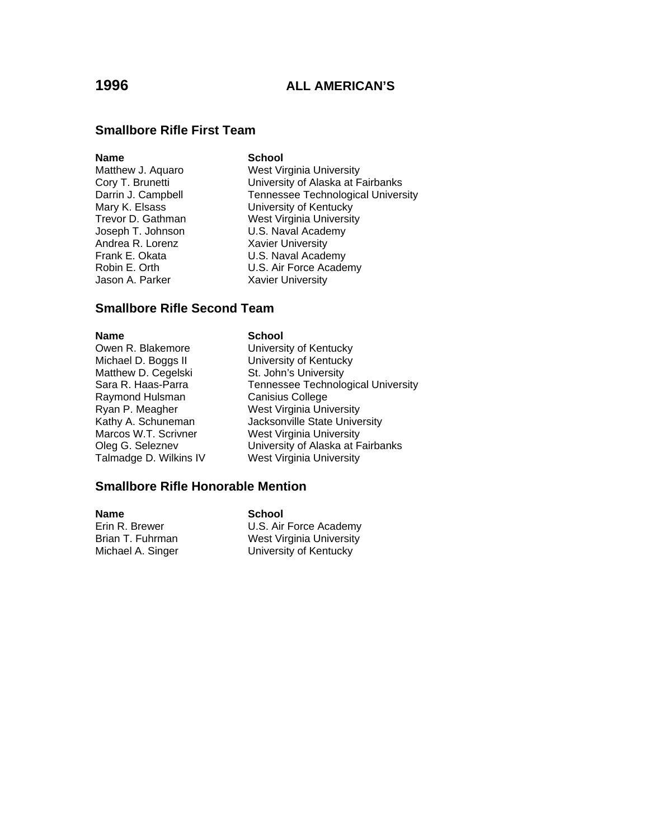### **Smallbore Rifle First Team**

### **Name** School

Andrea R. Lorenz Xavier University Jason A. Parker Xavier University

Matthew J. Aquaro West Virginia University Cory T. Brunetti **Cory T. Brunetti** University of Alaska at Fairbanks<br>Darrin J. Campbell **Constant Constant Tennessee Technological Univers** Tennessee Technological University Mary K. Elsass University of Kentucky Trevor D. Gathman West Virginia University Joseph T. Johnson U.S. Naval Academy Frank E. Okata **B. E. D. E. U.S. Naval Academy**<br>Robin E. Orth **B. E. U.S. Air Force Acade** U.S. Air Force Academy

### **Smallbore Rifle Second Team**

**Name School** 

Matthew D. Cegelski St. John's University<br>Sara R. Haas-Parra Tennessee Technolo Raymond Hulsman Talmadge D. Wilkins IV West Virginia University

Owen R. Blakemore University of Kentucky Michael D. Boggs II University of Kentucky Tennessee Technological University<br>Canisius College Ryan P. Meagher West Virginia University Kathy A. Schuneman **Jacksonville State University** Marcos W.T. Scrivner West Virginia University Oleg G. Seleznev University of Alaska at Fairbanks

### **Smallbore Rifle Honorable Mention**

**Name School**<br> **Erin R. Brewer C. S. Air** 

Erin R. Brewer **U.S. Air Force Academy**<br>
Brian T. Fuhrman **West Virginia University** West Virginia University Michael A. Singer University of Kentucky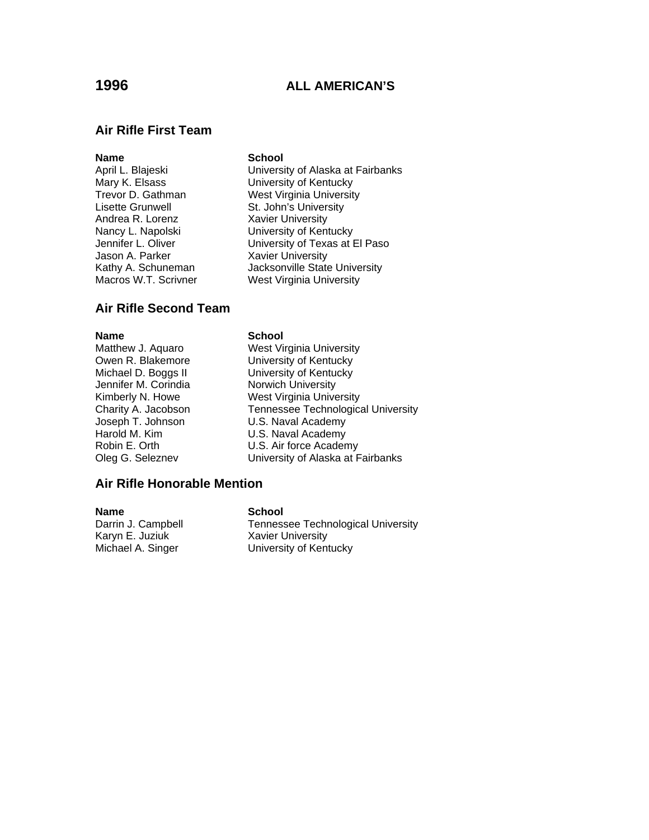### **Air Rifle First Team**

### **Name** School

Lisette Grunwell **St. John's University** Andrea R. Lorenz Xavier University Jason A. Parker **Xavier University**<br>
Kathy A. Schuneman Macksonville State Macros W.T. Scrivner West Virginia University

April L. Blajeski **University of Alaska at Fairbanks** Mary K. Elsass University of Kentucky<br>Trevor D. Gathman West Virginia Universit West Virginia University Nancy L. Napolski University of Kentucky Jennifer L. Oliver **University of Texas at El Paso** Jacksonville State University

### **Air Rifle Second Team**

Jennifer M. Corindia Norwich University

### **Name** School

Matthew J. Aquaro West Virginia University Owen R. Blakemore **University of Kentucky** Michael D. Boggs II University of Kentucky Kimberly N. Howe West Virginia University Charity A. Jacobson Tennessee Technological University Joseph T. Johnson **U.S. Naval Academy** Harold M. Kim U.S. Naval Academy Robin E. Orth U.S. Air force Academy Oleg G. Seleznev University of Alaska at Fairbanks

### **Air Rifle Honorable Mention**

Karyn E. Juziuk Xavier University<br>Michael A. Singer Viniversity of Ken

### **Name** School

Darrin J. Campbell **Tennessee Technological University** University of Kentucky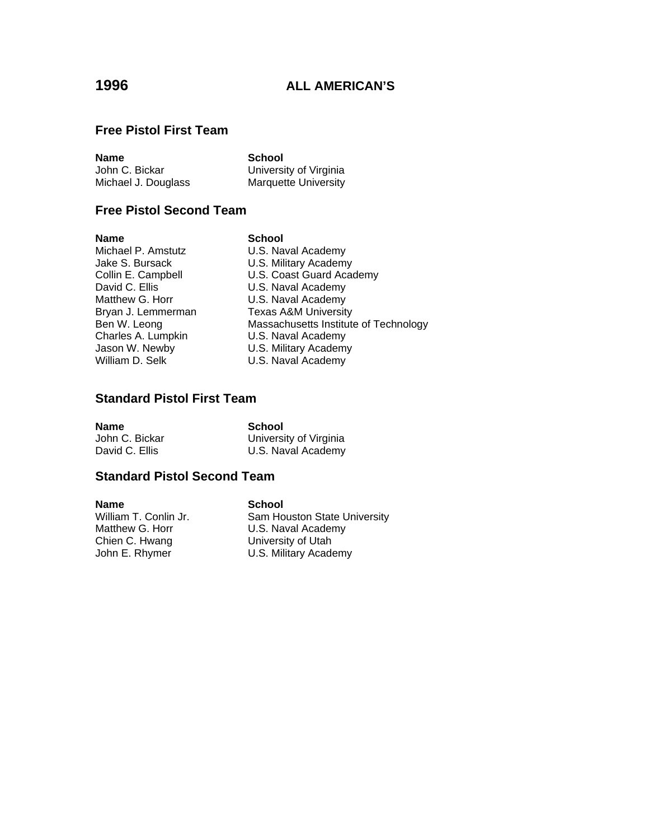### **Free Pistol First Team**

| <b>Name</b>         | School                 |
|---------------------|------------------------|
| John C. Bickar      | University of Virginia |
| Michael J. Douglass | Marquette University   |

## **Free Pistol Second Team**

**Name School**<br>
Michael P. Amstutz **School**<br>
U.S. Na Michael P. Amstutz<br>
Jake S. Bursack U.S. Military Academy Matthew G. Horr **U.S. Naval Academy** Charles A. Lumpkin U.S. Naval Academy

U.S. Military Academy Collin E. Campbell **Collin E. Compose U.S. Coast Guard Academy**<br>David C. Ellis **National Collins** U.S. Naval Academy U.S. Naval Academy Bryan J. Lemmerman Texas A&M University<br>Ben W. Leong Massachusetts Institute Massachusetts Institute of Technology Jason W. Newby **U.S. Military Academy**<br>
William D. Selk **U.S. Naval Academy** U.S. Naval Academy

## **Standard Pistol First Team**

**Name**<br> **School**<br>
John C. Bickar<br> **School** John C. Bickar **Vichola C. Bickar** University of Virginia<br>David C. Ellis **National C. D. L. C. Naval Academy** U.S. Naval Academy

## **Standard Pistol Second Team**

**Name School**<br>William T. Conlin Jr. **Sam Ho** Chien C. Hwang University of Utah

William T. Conlin Jr.<br>
Matthew G. Horr U.S. Naval Academy U.S. Naval Academy John E. Rhymer **U.S. Military Academy**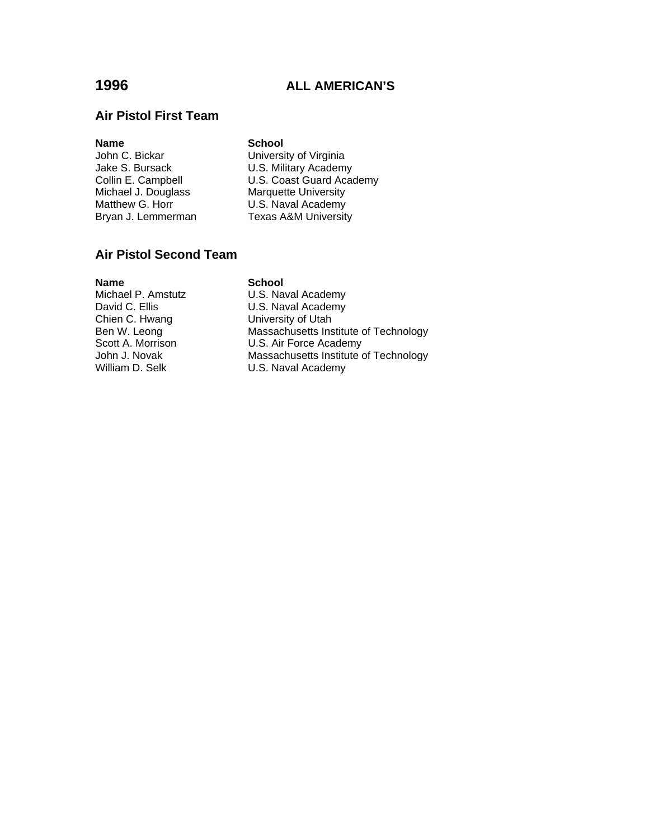## **Air Pistol First Team**

**Name**<br> **School**<br> **John C. Bickar**<br> **School**<br> **Universi** 

University of Virginia Jake S. Bursack **U.S. Military Academy** Collin E. Campbell **U.S. Coast Guard Academy**<br>Michael J. Douglass Marquette University Marquette University Matthew G. Horr **U.S. Naval Academy**<br>Bryan J. Lemmerman **Texas A&M University** Texas A&M University

### **Air Pistol Second Team**

**Name School**<br>Michael P. Amstutz **School**<br>U.S. Nav Chien C. Hwang University of Utah

Michael P. Amstutz **U.S. Naval Academy**<br>David C. Ellis **U.S. Naval Academy** U.S. Naval Academy Ben W. Leong Massachusetts Institute of Technology<br>Scott A. Morrison U.S. Air Force Academy U.S. Air Force Academy John J. Novak **Massachusetts Institute of Technology**<br>
William D. Selk **M. H. S. Naval Academy** U.S. Naval Academy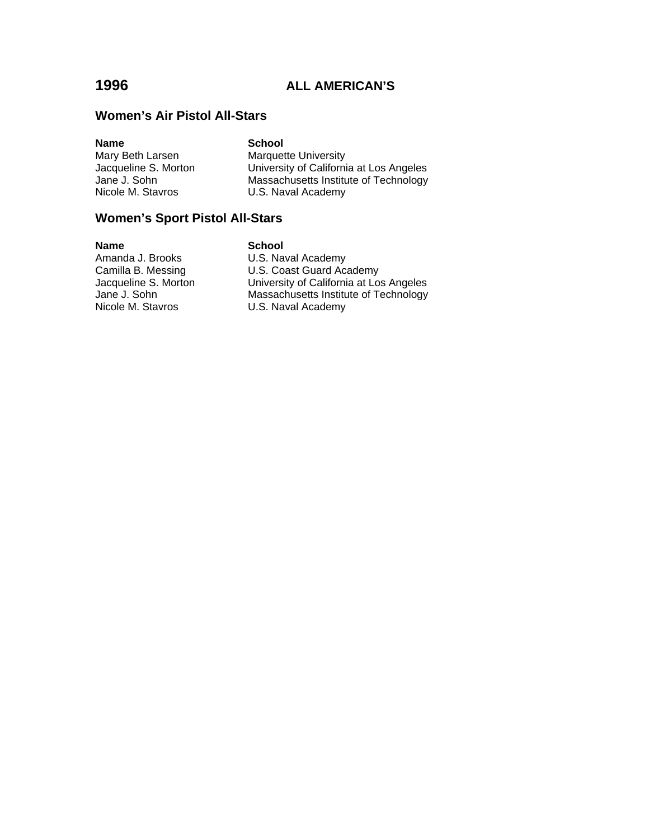### **Women's Air Pistol All-Stars**

| <b>Name</b>          | <b>School</b>                           |
|----------------------|-----------------------------------------|
| Mary Beth Larsen     | <b>Marquette University</b>             |
| Jacqueline S. Morton | University of California at Los Angeles |
| Jane J. Sohn         | Massachusetts Institute of Technology   |
| Nicole M. Stavros    | U.S. Naval Academy                      |

## **Women's Sport Pistol All-Stars**

**Name School**<br>Amanda J. Brooks **School**<br>U.S. Nav Amanda J. Brooks<br>
Camilla B. Messing<br>
U.S. Coast Guard Aca

Camilla B. Messing U.S. Coast Guard Academy<br>Jacqueline S. Morton University of California at Los Jacqueline S. Morton University of California at Los Angeles Jane J. Sohn Massachusetts Institute of Technology Nicole M. Stavros **U.S. Naval Academy**